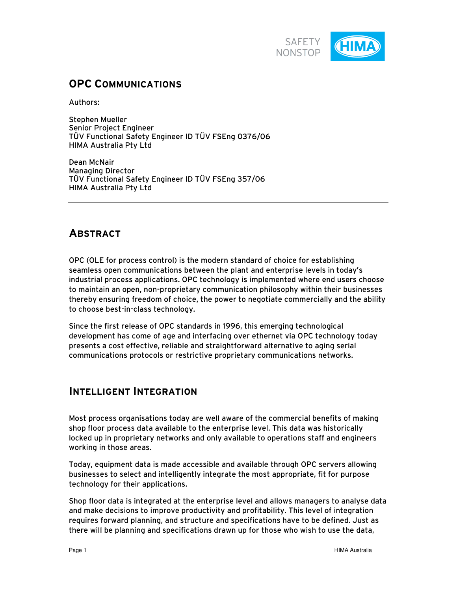

# **OPC COMMUNICATIONS**

Authors:

Stephen Mueller Senior Project Engineer TÜV Functional Safety Engineer ID TÜV FSEng 0376/06 HIMA Australia Pty Ltd

Dean McNair Managing Director TÜV Functional Safety Engineer ID TÜV FSEng 357/06 HIMA Australia Pty Ltd

## **ABSTRACT**

OPC (OLE for process control) is the modern standard of choice for establishing seamless open communications between the plant and enterprise levels in today's industrial process applications. OPC technology is implemented where end users choose to maintain an open, non-proprietary communication philosophy within their businesses thereby ensuring freedom of choice, the power to negotiate commercially and the ability to choose best-in-class technology.

Since the first release of OPC standards in 1996, this emerging technological development has come of age and interfacing over ethernet via OPC technology today presents a cost effective, reliable and straightforward alternative to aging serial communications protocols or restrictive proprietary communications networks.

## **INTELLIGENT INTEGRATION**

Most process organisations today are well aware of the commercial benefits of making shop floor process data available to the enterprise level. This data was historically locked up in proprietary networks and only available to operations staff and engineers working in those areas.

Today, equipment data is made accessible and available through OPC servers allowing businesses to select and intelligently integrate the most appropriate, fit for purpose technology for their applications.

Shop floor data is integrated at the enterprise level and allows managers to analyse data and make decisions to improve productivity and profitability. This level of integration requires forward planning, and structure and specifications have to be defined. Just as there will be planning and specifications drawn up for those who wish to use the data,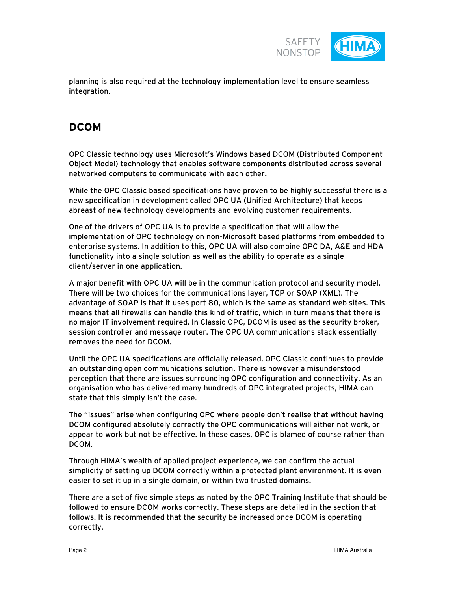

planning is also required at the technology implementation level to ensure seamless integration.

# **DCOM**

OPC Classic technology uses Microsoft's Windows based DCOM (Distributed Component Object Model) technology that enables software components distributed across several networked computers to communicate with each other.

While the OPC Classic based specifications have proven to be highly successful there is a new specification in development called OPC UA (Unified Architecture) that keeps abreast of new technology developments and evolving customer requirements.

One of the drivers of OPC UA is to provide a specification that will allow the implementation of OPC technology on non-Microsoft based platforms from embedded to enterprise systems. In addition to this, OPC UA will also combine OPC DA, A&E and HDA functionality into a single solution as well as the ability to operate as a single client/server in one application.

A major benefit with OPC UA will be in the communication protocol and security model. There will be two choices for the communications layer, TCP or SOAP (XML). The advantage of SOAP is that it uses port 80, which is the same as standard web sites. This means that all firewalls can handle this kind of traffic, which in turn means that there is no major IT involvement required. In Classic OPC, DCOM is used as the security broker, session controller and message router. The OPC UA communications stack essentially removes the need for DCOM.

Until the OPC UA specifications are officially released, OPC Classic continues to provide an outstanding open communications solution. There is however a misunderstood perception that there are issues surrounding OPC configuration and connectivity. As an organisation who has delivered many hundreds of OPC integrated projects, HIMA can state that this simply isn't the case.

The "issues" arise when configuring OPC where people don't realise that without having DCOM configured absolutely correctly the OPC communications will either not work, or appear to work but not be effective. In these cases, OPC is blamed of course rather than DCOM.

Through HIMA's wealth of applied project experience, we can confirm the actual simplicity of setting up DCOM correctly within a protected plant environment. It is even easier to set it up in a single domain, or within two trusted domains.

There are a set of five simple steps as noted by the OPC Training Institute that should be followed to ensure DCOM works correctly. These steps are detailed in the section that follows. It is recommended that the security be increased once DCOM is operating correctly.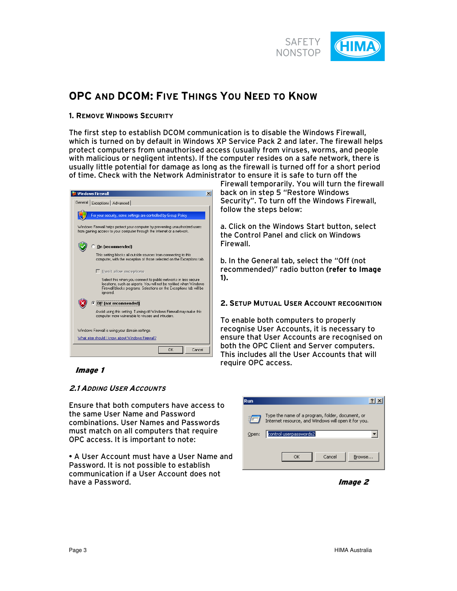

# **OPC AND DCOM: FIVE THINGS YOU NEED TO KNOW**

### **1. REMOVE WINDOWS SECURITY**

The first step to establish DCOM communication is to disable the Windows Firewall, which is turned on by default in Windows XP Service Pack 2 and later. The firewall helps protect computers from unauthorised access (usually from viruses, worms, and people with malicious or negligent intents). If the computer resides on a safe network, there is usually little potential for damage as long as the firewall is turned off for a short period of time. Check with the Network Administrator to ensure it is safe to turn off the



Firewall temporarily. You will turn the firewall back on in step 5 "Restore Windows Security". To turn off the Windows Firewall, follow the steps below:

a. Click on the Windows Start button, select the Control Panel and click on Windows Firewall.

b. In the General tab, select the "Off (not recommended)" radio button **(refer to Image 1).** 

#### **2. SETUP MUTUAL USER ACCOUNT RECOGNITION**

To enable both computers to properly recognise User Accounts, it is necessary to ensure that User Accounts are recognised on both the OPC Client and Server computers. This includes all the User Accounts that will require OPC access.

Image 1

### **2.1 ADDING USER ACCOUNTS**

Ensure that both computers have access to the same User Name and Password combinations. User Names and Passwords must match on all computers that require OPC access. It is important to note:

• A User Account must have a User Name and Password. It is not possible to establish communication if a User Account does not have a Password.

| Run   |                                                                                                          |
|-------|----------------------------------------------------------------------------------------------------------|
|       | Type the name of a program, folder, document, or<br>Internet resource, and Windows will open it for you. |
| Open: | control userpasswords2                                                                                   |
|       | Cancel<br>OK<br>Browse                                                                                   |

Image 2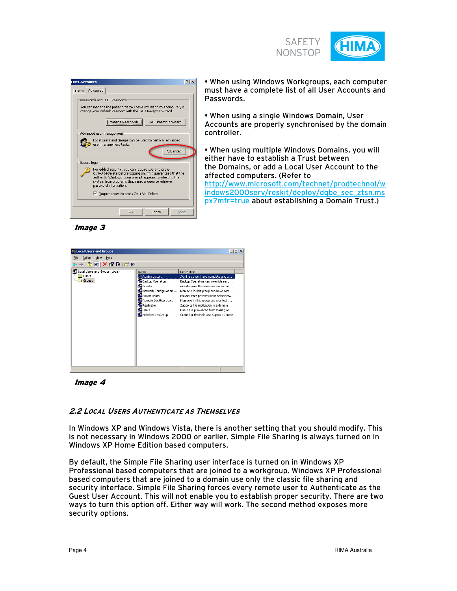

| <b>User Accounts</b> |                                                                                                                                                                                                                                                                                                                         | ?                       |
|----------------------|-------------------------------------------------------------------------------------------------------------------------------------------------------------------------------------------------------------------------------------------------------------------------------------------------------------------------|-------------------------|
| <b>H</b> sers        | Advanced                                                                                                                                                                                                                                                                                                                |                         |
|                      | Passwords and .NET Passports<br>You can manage the passwords you have stored on this computer, or<br>change your default Passport with the .NET Passport Wizard.<br>Manage Passwo<br>.NET Passport Wizard                                                                                                               |                         |
|                      | Advanced user management<br>Local Users and Groups can be used to perform advanced<br>user management tasks.                                                                                                                                                                                                            | Advanced                |
|                      | Secure logon<br>For added security, you can require users to press<br>Ctrl+Alt+Delete before logging on. This guarantees that the<br>authentic Windows logon prompt appears, protecting the<br>system from programs that mimic a logon to retrieve<br>password information.<br>Ⅳ Require users to press Ctrl+Alt+Delete |                         |
|                      | Cancel<br>OK                                                                                                                                                                                                                                                                                                            | <b>ADD</b> <sub>V</sub> |

• When using Windows Workgroups, each computer must have a complete list of all User Accounts and Passwords.

• When using a single Windows Domain, User Accounts are properly synchronised by the domain controller.

• When using multiple Windows Domains, you will either have to establish a Trust between the Domains, or add a Local User Account to the affected computers. (Refer to http://www.microsoft.com/technet/prodtechnol/w indows2000serv/reskit/deploy/dgbe\_sec\_ztsn.ms px?mfr=true about establishing a Domain Trust.)

Image 3

| <b><i>S</i></b> , Local Users and Groups          |                                                                                                                                                                                                 | $\Box$ D  X                                                                                                                                                                                                                                                                                                                                                             |
|---------------------------------------------------|-------------------------------------------------------------------------------------------------------------------------------------------------------------------------------------------------|-------------------------------------------------------------------------------------------------------------------------------------------------------------------------------------------------------------------------------------------------------------------------------------------------------------------------------------------------------------------------|
| File<br>Action<br>View<br>Help                    |                                                                                                                                                                                                 |                                                                                                                                                                                                                                                                                                                                                                         |
| 白田 X 窗 B I B 田<br>⇔                               |                                                                                                                                                                                                 |                                                                                                                                                                                                                                                                                                                                                                         |
| Local Users and Groups (Local)<br>Users<br>Groups | Name<br>Administrators<br>Backup Operators<br>Guests<br><b>KA</b> Network Configuration<br><b>La</b> Power Lisers<br>Remote Desktop Users<br>Replicator<br><b>La</b> Users<br>HelpServicesGroup | Description<br>Administrators have complete and u<br>Backup Operators can override secu<br>Guests have the same access as me<br>Members in this group can have som<br>Power Users possess most administr<br>Members in this group are granted t<br>Supports file replication in a domain<br>Users are prevented from making ac<br>Group for the Help and Support Center |
|                                                   |                                                                                                                                                                                                 |                                                                                                                                                                                                                                                                                                                                                                         |

Image 4

## **2.2 LOCAL USERS AUTHENTICATE AS THEMSELVES**

In Windows XP and Windows Vista, there is another setting that you should modify. This is not necessary in Windows 2000 or earlier. Simple File Sharing is always turned on in Windows XP Home Edition based computers.

By default, the Simple File Sharing user interface is turned on in Windows XP Professional based computers that are joined to a workgroup. Windows XP Professional based computers that are joined to a domain use only the classic file sharing and security interface. Simple File Sharing forces every remote user to Authenticate as the Guest User Account. This will not enable you to establish proper security. There are two ways to turn this option off. Either way will work. The second method exposes more security options.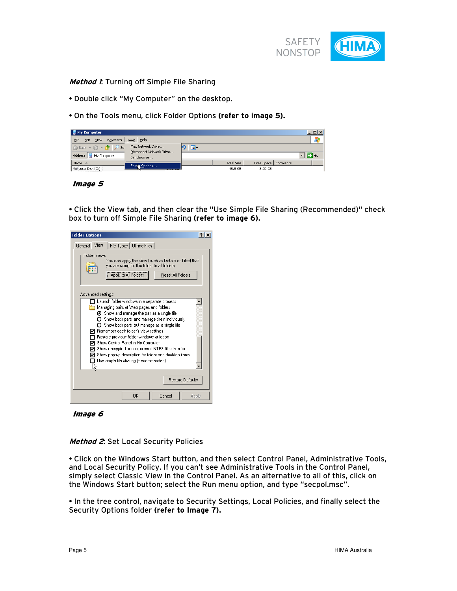

#### **Method 1:** Turning off Simple File Sharing

- Double click "My Computer" on the desktop.
- On the Tools menu, click Folder Options **(refer to image 5).**

| My Computer |                                   |      |                                                                                                                  |                                                              |     |                       |                                  |  | $ \Box$ $\times$ $\parallel$ |
|-------------|-----------------------------------|------|------------------------------------------------------------------------------------------------------------------|--------------------------------------------------------------|-----|-----------------------|----------------------------------|--|------------------------------|
| File        | Edit                              | View | Favorites                                                                                                        | Tools Help                                                   |     |                       |                                  |  |                              |
|             |                                   |      | $\big\ $ $\bigcap$ Back $\cdot$ $\bigcap$ $\cdot$ $\big\ $ $\big\ $ $\big\ $<br><b>Se</b><br>Address My Computer | Map Network Drive<br>Disconnect Network Drive<br>Synchronize | 78. |                       |                                  |  | $\rightarrow$ Go             |
| Name        | $\blacksquare$ Local Disk $(C_i)$ |      |                                                                                                                  | Foldix Options                                               |     | Total Size<br>48.8 GB | Free Space   Comments<br>8.00 GB |  |                              |

Image 5

• Click the View tab, and then clear the "Use Simple File Sharing (Recommended)" check box to turn off Simple File Sharing **(refer to image 6).**

| <b>Folder Options</b>                                                                                                                                                                                                                                                                                                                                                                                                                                                                                                                                                                        |
|----------------------------------------------------------------------------------------------------------------------------------------------------------------------------------------------------------------------------------------------------------------------------------------------------------------------------------------------------------------------------------------------------------------------------------------------------------------------------------------------------------------------------------------------------------------------------------------------|
| File Types   Offline Files  <br>View<br>General                                                                                                                                                                                                                                                                                                                                                                                                                                                                                                                                              |
| Folder views<br>You can apply the view (such as Details or Tiles) that<br>you are using for this folder to all folders.<br>Apply to All Folders<br><b>Reset All Folders</b>                                                                                                                                                                                                                                                                                                                                                                                                                  |
| Advanced settings:<br>Launch folder windows in a separate process<br>Managing pairs of Web pages and folders<br>$\boldsymbol{\Theta}$ Show and manage the pair as a single file<br>$\, \Omega \,$ Show both parts and manage them individually<br>$\bigcirc$ Show both parts but manage as a single file<br>Remember each folder's view settings<br>◡<br>Restore previous folder windows at logon.<br>Show Control Panel in My Computer<br>Show encrypted or compressed NTFS files in color<br>Show pop-up description for folder and desktop items<br>Use simple file sharing (Recommended) |
| Restore Defaults                                                                                                                                                                                                                                                                                                                                                                                                                                                                                                                                                                             |
| OK<br>Cancel<br>Apply                                                                                                                                                                                                                                                                                                                                                                                                                                                                                                                                                                        |

## Image 6

#### **Method 2**: Set Local Security Policies

• Click on the Windows Start button, and then select Control Panel, Administrative Tools, and Local Security Policy. If you can't see Administrative Tools in the Control Panel, simply select Classic View in the Control Panel. As an alternative to all of this, click on the Windows Start button; select the Run menu option, and type "secpol.msc".

• In the tree control, navigate to Security Settings, Local Policies, and finally select the Security Options folder **(refer to Image 7).**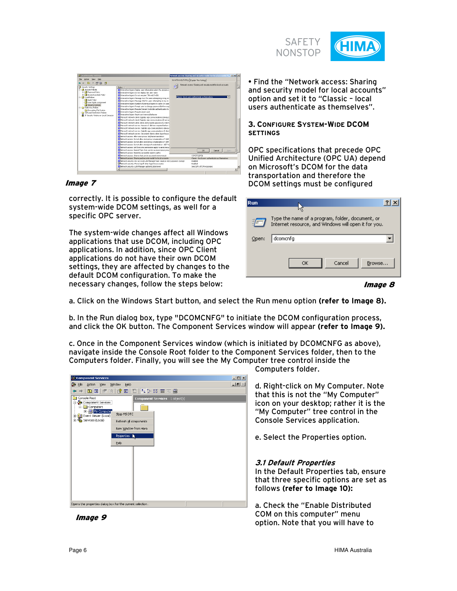

| <b>T</b> Local Security Settings                                                                                                                                                                                                                                                                                                                           |                                                                                                                                                                                                                                                                                                                                                                                                                                                                                                                                                                                                                                                                                                                                                                                                                                                                                                                                                                                                                                                                                                                                                                                                                                                                                                                                                                                                                                                                                                                                                                                                                                                                                                                                                                                                                                                                                                                                                                                                    | Network access: Sharing and security model for local accounts Pr.,, [2] [2] [2]                                                                                                                                       |
|------------------------------------------------------------------------------------------------------------------------------------------------------------------------------------------------------------------------------------------------------------------------------------------------------------------------------------------------------------|----------------------------------------------------------------------------------------------------------------------------------------------------------------------------------------------------------------------------------------------------------------------------------------------------------------------------------------------------------------------------------------------------------------------------------------------------------------------------------------------------------------------------------------------------------------------------------------------------------------------------------------------------------------------------------------------------------------------------------------------------------------------------------------------------------------------------------------------------------------------------------------------------------------------------------------------------------------------------------------------------------------------------------------------------------------------------------------------------------------------------------------------------------------------------------------------------------------------------------------------------------------------------------------------------------------------------------------------------------------------------------------------------------------------------------------------------------------------------------------------------------------------------------------------------------------------------------------------------------------------------------------------------------------------------------------------------------------------------------------------------------------------------------------------------------------------------------------------------------------------------------------------------------------------------------------------------------------------------------------------------|-----------------------------------------------------------------------------------------------------------------------------------------------------------------------------------------------------------------------|
| File Action View Help<br>$+12 \times 12$ B $12$                                                                                                                                                                                                                                                                                                            |                                                                                                                                                                                                                                                                                                                                                                                                                                                                                                                                                                                                                                                                                                                                                                                                                                                                                                                                                                                                                                                                                                                                                                                                                                                                                                                                                                                                                                                                                                                                                                                                                                                                                                                                                                                                                                                                                                                                                                                                    | Local Security Setting   Explain This Setting  <br>Network access: Sharing and security model for local accounts                                                                                                      |
| Security Settings<br><b>B. D. Account Policies</b><br>B C Password Policy<br>St Co Account Lockout Policy<br><b>E-D</b> Local Policies<br><b>Co</b> Audit Policy<br>User Rights Assignment<br>Security Options<br>El El Public Key Policies<br>Encrypting File System<br><b>BI Software Restriction Policies</b><br>IP Security Policies on Local Computer | Policy /<br>[1] Interactive logon: Display user information when the session is<br>Ed transative logor: Do not deplay last user name<br>All Interactive logary Do not require CTRL+4LT+0EL<br><b>Ell trianactive logen: Message test for users attempting to log on</b><br>[5] Interactive logon: Message title for users attempting to log on<br>[1] Interactive logon: Number of previous logons to cadre (in case<br>[1] Interactive logon: Pronot user to change password before ergy<br><b>Ell Interactive loger: Require Domain Controller authentication to</b><br>[1] Interactive logon: Require smart card<br><b>El triangitos logon: Smart card removal behavior</b><br>[1] Microsoft network client: Digitally sign communications (always)<br>24 Microsoft network client: Digitally sign communications (if server<br>Microsoft network client: Send unencrypted password to third-<br>22 Marquelt network server: Amount of ide time required before a<br>[1] Microsoft network server: Digitally sign communications (always)<br>24 Planguaft network server: Digitally sign communications (if sheri)<br>Hiorosoft network serven Disconnect dients when logon hours<br>[2] Network access: Allow anonymous SD/Name translation<br>[1] Nebagak access: Do not allow anonymous enumeration of SAM<br>22 Network access: Do not allow anonymous enumeration of SAM<br>[4] Network access: Do not allow storage of credentials or JVET Pa<br>Ed Network access: Let Everyone permissions apply to anonymous<br>[4] Network access: Named Pipes that can be accessed anonymous<br>22 Network access: Renotely accessible registry paths<br>[1] Network access: Shares that can be accessed anonymously<br>[2] Network access: Sharing and security readel for local accounts<br>All Network security: Do not store LANIManager hash value on next password change<br>Network recurity: Force logoff when logon hours expire<br>[25] Network security: LAN Manager authentication level | ×<br>Classic-local users authenticate as theraselves<br><b>DK</b><br>Cancel<br>Auch)<br>COMORS DPSB<br>Classic - local users authoritists as themselves<br>Distribut<br><b>Disabiliti</b><br>Send LM & NTLM responses |

#### Image 7

correctly. It is possible to configure the default system-wide DCOM settings, as well for a specific OPC server.

The system-wide changes affect all Windows applications that use DCOM, including OPC applications. In addition, since OPC Client applications do not have their own DCOM settings, they are affected by changes to the default DCOM configuration. To make the necessary changes, follow the steps below:

• Find the "Network access: Sharing and security model for local accounts" option and set it to "Classic – local users authenticate as themselves".

#### **3. CONFIGURE SYSTEM-WIDE DCOM SETTINGS**

OPC specifications that precede OPC Unified Architecture (OPC UA) depend on Microsoft's DCOM for the data transportation and therefore the DCOM settings must be configured

| Run.  |                                                                                                          |
|-------|----------------------------------------------------------------------------------------------------------|
|       | Type the name of a program, folder, document, or<br>Internet resource, and Windows will open it for you. |
| Open: | dcomcnfg                                                                                                 |
|       | Cancel<br>Browse<br>ОK                                                                                   |
|       |                                                                                                          |

a. Click on the Windows Start button, and select the Run menu option **(refer to Image 8).**

b. In the Run dialog box, type "DCOMCNFG" to initiate the DCOM configuration process, and click the OK button. The Component Services window will appear **(refer to Image 9).**

c. Once in the Component Services window (which is initiated by DCOMCNFG as above), navigate inside the Console Root folder to the Component Services folder, then to the Computers folder. Finally, you will see the My Computer tree control inside the



Computers folder.

d. Right-click on My Computer. Note that this is not the "My Computer" icon on your desktop; rather it is the "My Computer" tree control in the Console Services application.

e. Select the Properties option.

#### **3.1 Default Properties**

In the Default Properties tab, ensure that three specific options are set as follows **(refer to Image 10):**

a. Check the "Enable Distributed COM on this computer" menu option. Note that you will have to

Image 9

Image 8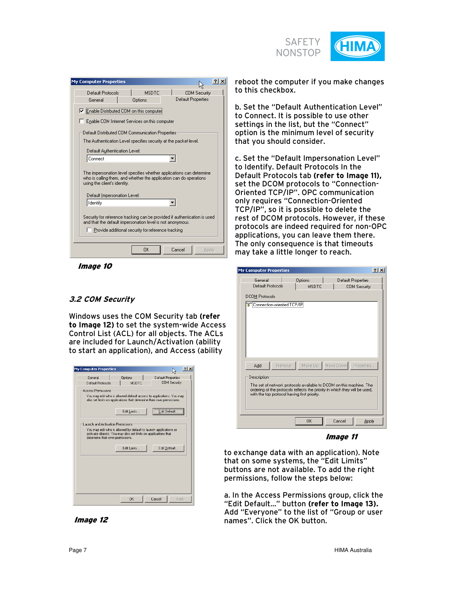

| <b>My Computer Properties</b>                                                                                                                                                                        | ? x                 |
|------------------------------------------------------------------------------------------------------------------------------------------------------------------------------------------------------|---------------------|
| Default Protocols<br>MSDTC.                                                                                                                                                                          | <b>COM Security</b> |
| General<br>Options                                                                                                                                                                                   | Default Properties  |
| <b>V</b> Enable Distributed COM on this computer                                                                                                                                                     |                     |
| Enable COM Internet Services on this computer                                                                                                                                                        |                     |
| Default Distributed COM Communication Properties                                                                                                                                                     |                     |
| The Authentication Level specifies security at the packet level.                                                                                                                                     |                     |
| Default Authentication Level:                                                                                                                                                                        |                     |
| Connect                                                                                                                                                                                              |                     |
| The impersonation level specifies whether applications can determine<br>who is calling them, and whether the application can do operations<br>using the client's identity.                           |                     |
| Default Impersonation Level:                                                                                                                                                                         |                     |
| Identify                                                                                                                                                                                             |                     |
| Security for reference tracking can be provided if authentication is used<br>and that the default impersonation level is not anonymous.<br><b>Provide additional security for reference tracking</b> |                     |
| OK                                                                                                                                                                                                   | Cancel<br>Apply     |

Image 10

## **3.2 COM Security**

Windows uses the COM Security tab **(refer to Image 12)** to set the system-wide Access Control List (ACL) for all objects. The ACLs are included for Launch/Activation (ability to start an application), and Access (ability

| <b>My Computer Properties</b>     |                                                                                                                                    | ? X <br>ば                                                                                                                                    |
|-----------------------------------|------------------------------------------------------------------------------------------------------------------------------------|----------------------------------------------------------------------------------------------------------------------------------------------|
| General                           | <b>Options</b>                                                                                                                     | Default Properties                                                                                                                           |
| Default Protocols                 | <b>MSDTC</b>                                                                                                                       | <b>COM Security</b>                                                                                                                          |
| <b>Access Permissions</b>         |                                                                                                                                    | You may edit who is allowed default access to applications. You may<br>also set limits on applications that determine their own permissions. |
|                                   | Edit Limits                                                                                                                        | Edit Default.                                                                                                                                |
| Launch and Activation Permissions |                                                                                                                                    |                                                                                                                                              |
| determine their own permissions.  | You may edit who is allowed by default to launch applications or<br>activate objects. You may also set limits on applications that |                                                                                                                                              |
|                                   | Edit Limits                                                                                                                        | Edit Default                                                                                                                                 |
|                                   |                                                                                                                                    |                                                                                                                                              |
|                                   |                                                                                                                                    |                                                                                                                                              |
|                                   |                                                                                                                                    |                                                                                                                                              |
|                                   |                                                                                                                                    |                                                                                                                                              |



reboot the computer if you make changes to this checkbox.

b. Set the "Default Authentication Level" to Connect. It is possible to use other settings in the list, but the "Connect" option is the minimum level of security that you should consider.

c. Set the "Default Impersonation Level" to Identify. Default Protocols In the Default Protocols tab **(refer to Image 11),** set the DCOM protocols to "Connection-Oriented TCP/IP". OPC communication only requires "Connection-Oriented TCP/IP", so it is possible to delete the rest of DCOM protocols. However, if these protocols are indeed required for non-OPC applications, you can leave them there. The only consequence is that timeouts may take a little longer to reach.

| <b>My Computer Properties</b>                                                                                                                      | $ ?  \times$ |
|----------------------------------------------------------------------------------------------------------------------------------------------------|--------------|
| General<br>Options<br>Default Properties                                                                                                           |              |
| Default Protocols<br><b>MSDTC</b><br><b>COM Security</b>                                                                                           |              |
| <b>DCOM Protocols</b>                                                                                                                              |              |
| Connection-oriented TCP/IP                                                                                                                         |              |
|                                                                                                                                                    |              |
|                                                                                                                                                    |              |
|                                                                                                                                                    |              |
|                                                                                                                                                    |              |
|                                                                                                                                                    |              |
|                                                                                                                                                    |              |
| Move Up   Move Down   Properties<br>Remove<br>Add                                                                                                  |              |
|                                                                                                                                                    |              |
| Description                                                                                                                                        |              |
| The set of network protocols available to DCOM on this machine. The<br>ordering of the protocols reflects the priority in which they will be used, |              |
| with the top protocol having first priority.                                                                                                       |              |
|                                                                                                                                                    |              |
|                                                                                                                                                    |              |
| <b>OK</b><br>Cancel<br>Apply                                                                                                                       |              |

Image 11

to exchange data with an application). Note that on some systems, the "Edit Limits" buttons are not available. To add the right permissions, follow the steps below:

a. In the Access Permissions group, click the "Edit Default…" button **(refer to Image 13).** Add "Everyone" to the list of "Group or user names". Click the OK button.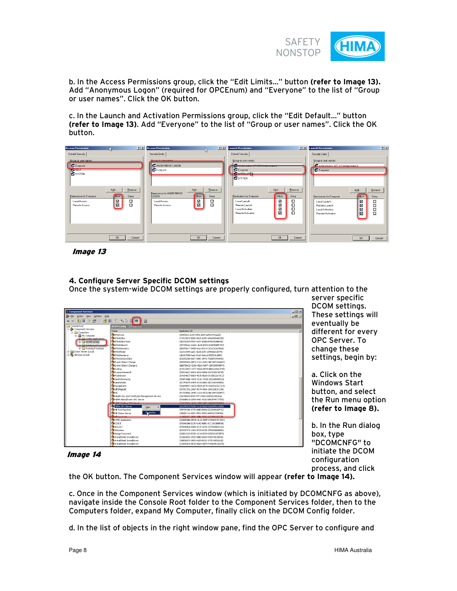

b. In the Access Permissions group, click the "Edit Limits…" button **(refer to Image 13).** Add "Anonymous Logon" (required for OPCEnum) and "Everyone" to the list of "Group or user names". Click the OK button.

c. In the Launch and Activation Permissions group, click the "Edit Default…" button **(refer to Image 13)**. Add "Everyone" to the list of "Group or user names". Click the OK button.

| <b>Access Permission</b>                                                |                                                                | <b>2 X</b> Access Permission                                                    | r,                                                | <b>2 X</b> Launch Permission                                                                                                                                                      | <b>28</b> Launch Permission<br>2x                                                                                                                                                                  |
|-------------------------------------------------------------------------|----------------------------------------------------------------|---------------------------------------------------------------------------------|---------------------------------------------------|-----------------------------------------------------------------------------------------------------------------------------------------------------------------------------------|----------------------------------------------------------------------------------------------------------------------------------------------------------------------------------------------------|
| Default Security                                                        |                                                                | Security Limits                                                                 |                                                   | Default Security                                                                                                                                                                  | Security Limits                                                                                                                                                                                    |
| Group or user names:<br><b>Exeryone</b><br><b>KANSELIN</b><br>12 SYSTEM |                                                                | <b>Group or user names:</b><br><b>132 ANONYMOUS LOGON</b><br><b>EX Everyone</b> |                                                   | Group or user names:<br><b>The Administrators (ATLAC Mulministrators)</b><br>132 Everyone<br><b>EN INTERACTION</b><br><b>ER</b> SYSTEM                                            | Group or user names:<br>32 Administrators (ATLASVAdministrators)<br><b>B</b> Everyone                                                                                                              |
| Permissions for Everyone<br>Local Access<br><b>Bemote Access</b>        | Add<br>Remove<br>Allow<br>Deny<br>$\overline{\mathbf{z}}$<br>吕 | Permissions for ANONYMOUS<br><b>LOGON</b><br>Local Access<br>Remote Access      | Add<br>Remove<br>Alow<br>Deny<br>⊠<br>□<br>囜<br>о | Add<br>Remove<br>Permissions for Everyone<br>Alow<br>Deny<br>⊠<br>□<br>Local Launch<br>⊠<br>$\Box$<br>Remote Launch<br>집집<br>о<br>Local Activation<br>$\Box$<br>Remote Activation | Add<br>Remove<br>Allow<br>Permissions for Everyone<br>Deny<br>☑<br>о<br>Local Launch<br>☑<br>о<br>Remote Launch<br>Ω<br>$\overline{\mathbf{S}}$<br>Local Activation<br>$\Box$<br>Remote Activation |
|                                                                         | <b>OK</b><br>Cancel                                            |                                                                                 | <b>OK</b><br>Cancel                               | <b>OK</b><br>Cancel                                                                                                                                                               | <b>OK</b><br>Cancel                                                                                                                                                                                |

Image 13

### **4. Configure Server Specific DCOM settings**

Once the system-wide DCOM settings are properly configured, turn attention to the

| <b>Component Services</b>                    |                                                  |                                         | $   $ $  $ $\times$ |
|----------------------------------------------|--------------------------------------------------|-----------------------------------------|---------------------|
| <b>B</b> Elle Action View<br>Window Help     |                                                  |                                         | $-10 \times$        |
| 白田 × 配 图   像 田   竹   4 ン 珠 田                 | 口                                                |                                         |                     |
| Console Root                                 | DCOM Config 273 object(s)                        |                                         |                     |
| <b>B</b> Component Services                  | <b>Name</b>                                      | Application ID                          |                     |
| El- <b>Ell</b> Computers                     | <b>DEPlotCore</b>                                | (465f2b1c-b16f-49f1-a84f-6a591972aacf)  |                     |
| 白星My Computer<br><b>CLICOMA Applications</b> | <b>Carplatedtor</b>                              | (73913EE3-5EB0-4825-A209-4A6A4B4AED5E)  |                     |
| <b>E</b> CV DCOM Config                      | <b>O</b> EPIntEditorTook                         | (0E37D28S-F507-4c57-B3AB-B7863S2BBE48)  |                     |
| <b>The Construction of Texassage of the</b>  | <b>D</b> EPlotEditorUI                           | (95745DA1-DAAC-4b38-8976-E36E50BBF357)  |                     |
| <b>Running Processes</b>                     | <b>DEPlotGeometry</b>                            | (BB3F9A17-84EB-4c6c-B314-C3C6C63A35A6)  |                     |
| <b>H</b> -Rul Event Viewer (Local)           | EPlotModel                                       | {2e312909-eab1-4e2b-b3f1-d158dd21d079}  |                     |
| Services (Local)                             | <b>DEPlotRenderer</b>                            | (db347020-fee0-41a5-9e4a-b783554cd85f)  |                     |
|                                              | <b>Se EPIntSection Editor</b>                    | (B1E55208-06E7-4AF1-8FF6-75DBFD948930)  |                     |
|                                              | De Event Object Change                           | (D0565000-9DF4-11D1-A281-00C04FCA0AA7)  |                     |
|                                              | Event Object Change 2                            |                                         |                     |
|                                              | EvtEng                                           | (BB07BACD-CD56-4E63-A8FF-CBF0355FB9F4)  |                     |
|                                              |                                                  | {E7DCA9D7-1577-45DA-BF99-8BD6184ACF99}  |                     |
|                                              | <b>DExpressViewerDI</b><br><b>De FlashBroker</b> | (55523A67-A054-4064-B88D-0070305C9E95)  |                     |
|                                              |                                                  | (D4304BCE-B8E9-4B3S-BEAD-DC5B522670C2)  |                     |
|                                              | GeoReferencing                                   | (05AF4ABE-3ACE-41AC-943B-28226B80EB10)  |                     |
|                                              | GeoRefUtils                                      | (AC7F0675-04F6-4318-8DB1-0EC340345484)  |                     |
|                                              | GoogleEarth                                      | {46A99B9C-4AC8-4EE9-AF7D-D02816CEC314}  |                     |
|                                              | <b>Co</b> GPSMapEdit                             | {9375C706-29A7-4574-9964-1B4120E3CCD4}  |                     |
|                                              | <b>COHC</b>                                      | (FC7D9E01-3F9E-11D3-93C0-00C04F72DAF7)  |                     |
|                                              | Thealth Key and Certificate Management Service   | 446298684-0fd3-47f3-94b3-65650c65b36al- |                     |
|                                              | <b>OHIMA Alarm/Event OPC Server</b>              | (5368BA18-2009-4461-8102-8A63F4FC77DD)  |                     |
|                                              | <b>Communication</b> And a                       | LAS USSAIN THE ALCOHOL SECTION CONTAINS |                     |
|                                              | HIMA OPC-Server<br>View                          | {A1245725-F64D-11d2-BA28-006094511A9D}  |                     |
|                                              | <b>SHP Port Resolver</b>                         | (55F3F296-4775-4AE9-80AA-52393842EF3C)  |                     |
|                                              | <b>Properties</b><br><b>OHP Status Server</b>    | (3BDSE114-4087-4557-8952-AAE023709EBD)  |                     |
|                                              | Bungal                                           | GEOGRAPHICS CODA SODA GODA ESPAGNABLE   |                     |
|                                              | <b>OHTML Application</b>                         | {40AEEAB6-8FDA-41e3-9A5F-8350D4CFCA91}  |                     |
|                                              | DiCrdCl                                          | (53046386-0125-41A2-88B1-0CC16C6B8E96)  |                     |
|                                              | <b>O</b> IDriverT                                | (F58088EA-D0B0-421F-A1FE-3CF5898051D6)  |                     |
|                                              | <b>SoldSystem</b>                                | (B7D3F975-1964-4F39-8CEE-2FB4A5B6B89D)  |                     |
|                                              | <b>D</b> Image Document                          | (02B01C80-E03D-101A-B294-00DD010F2BF9)  |                     |
|                                              | <b>D</b> InstallShield InstallDriver             | (01BA3B96-2FE0-4BE0-B965-83ED78E1BB4E)  |                     |
|                                              | <b>Co InstallShield InstallDriver</b>            | {1BB3D82F-9803-4d29-B232-1F2F14E52A2E}  |                     |
|                                              | So InstallShield InstallDriver                   | (C2B96968-8E30-4BA4-A8F9-F40D09D1EA7E)  |                     |

server specific DCOM settings. These settings will eventually be different for every OPC Server. To change these settings, begin by:

a. Click on the Windows Start button, and select the Run menu option **(refer to Image 8).**

b. In the Run dialog box, type "DCOMCNFG" to initiate the DCOM configuration process, and click

Image 14

the OK button. The Component Services window will appear **(refer to Image 14).**

c. Once in the Component Services window (which is initiated by DCOMCNFG as above), navigate inside the Console Root folder to the Component Services folder, then to the Computers folder, expand My Computer, finally click on the DCOM Config folder.

d. In the list of objects in the right window pane, find the OPC Server to configure and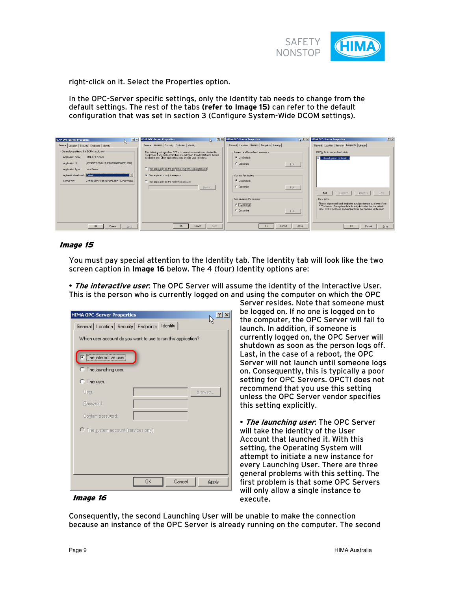

right-click on it. Select the Properties option.

In the OPC-Server specific settings, only the Identity tab needs to change from the default settings. The rest of the tabs **(refer to Image 15)** can refer to the default configuration that was set in section 3 (Configure System-Wide DCOM settings).

| 7x<br><b>HIMA OPC-Server Properties</b><br>$\mathbb{Q}$   | <b>HIMA OPC-Server Properties</b>                                                                                                                       | <b>TX</b> HIMA OPC-Server Properties<br>22   | 2x<br><b>HIMA OPC-Server Properties</b>                                                                                                      |
|-----------------------------------------------------------|---------------------------------------------------------------------------------------------------------------------------------------------------------|----------------------------------------------|----------------------------------------------------------------------------------------------------------------------------------------------|
| General Location Security Endpoints   Identity            | General Location Security Endpoints   Identity                                                                                                          | General Location Security Endpoints Identity | General Location Security Endpoints   Identity                                                                                               |
| General properties of this DCOM application:              | The following settings allow DCDM to locate the correct computer for this<br>application. If you make more than one selection, then DCOM uses the first | Launch and Activation Permissions            | DCOM Protocols and endpoints:                                                                                                                |
| HIMA OPC-Server<br>Apolication Name:                      | applicable one. Client applications may overide your selections.                                                                                        | <b>C</b> Use Default                         | default system protocols.                                                                                                                    |
| (A1245725-F64D-11d2-BA28-006094511A9D)<br>Application ID: |                                                                                                                                                         | C Customize<br>Edt.,                         |                                                                                                                                              |
| Application Type:<br>Local Server                         | Run application on the computer where the data is located.                                                                                              |                                              |                                                                                                                                              |
| Authentication Level: Default                             | $\nabla$ Bun application on this computer.                                                                                                              | Access Permissions                           |                                                                                                                                              |
| C:\PROGRA^1\HIMA\OPCSER^1.X\bin\hima<br>Local Path:       | F Run application on the following computer:                                                                                                            | C Use Default                                |                                                                                                                                              |
|                                                           | Browse.                                                                                                                                                 | C Customize<br>Edt.,                         |                                                                                                                                              |
|                                                           |                                                                                                                                                         |                                              | Add<br>Clear<br>Bemove<br><b>Properties</b>                                                                                                  |
|                                                           |                                                                                                                                                         | Configuration Permissions                    | - Description                                                                                                                                |
|                                                           |                                                                                                                                                         | <b>C</b> Use Default                         | The set of protocols and endpoints available for use by clients of this<br>DCOM server. The system defaults entry indicates that the default |
|                                                           |                                                                                                                                                         | C Customize<br>Edt.                          | set of DCOM protocols and endpoints for the machine will be used.                                                                            |
|                                                           |                                                                                                                                                         |                                              |                                                                                                                                              |
|                                                           |                                                                                                                                                         |                                              |                                                                                                                                              |
| QK<br><b>Apply</b><br>Cancel                              | Apply<br>QK<br>Cancel                                                                                                                                   | <b>OK</b><br>Apply<br>Cancel                 | Apply<br>Cancel<br>0 <sup>K</sup>                                                                                                            |

#### Image 15

You must pay special attention to the Identity tab. The Identity tab will look like the two screen caption in **Image 16** below. The 4 (four) Identity options are:

• **The interactive user**: The OPC Server will assume the identity of the Interactive User. This is the person who is currently logged on and using the computer on which the OPC

| <b>HIMA OPC-Server Properties</b>                              | ? x |  |  |  |
|----------------------------------------------------------------|-----|--|--|--|
| General   Location   Security   Endpoints   Identity           |     |  |  |  |
| Which user account do you want to use to run this application? |     |  |  |  |
| ● The interactive user<br>C The Jaunching user.                |     |  |  |  |
| $\heartsuit$ This user.                                        |     |  |  |  |
| Browse<br>User:                                                |     |  |  |  |
| Password:                                                      |     |  |  |  |
| Confirm password:                                              |     |  |  |  |
| O The system account (services only).                          |     |  |  |  |
|                                                                |     |  |  |  |
|                                                                |     |  |  |  |
|                                                                |     |  |  |  |
| Cancel<br>OΚ<br>Apply                                          |     |  |  |  |

Server resides. Note that someone must be logged on. If no one is logged on to the computer, the OPC Server will fail to launch. In addition, if someone is currently logged on, the OPC Server will shutdown as soon as the person logs off. Last, in the case of a reboot, the OPC Server will not launch until someone logs on. Consequently, this is typically a poor setting for OPC Servers. OPCTI does not recommend that you use this setting unless the OPC Server vendor specifies this setting explicitly.

• **The launching user**: The OPC Server will take the identity of the User Account that launched it. With this setting, the Operating System will attempt to initiate a new instance for every Launching User. There are three general problems with this setting. The first problem is that some OPC Servers will only allow a single instance to execute.

#### Image 16

Consequently, the second Launching User will be unable to make the connection because an instance of the OPC Server is already running on the computer. The second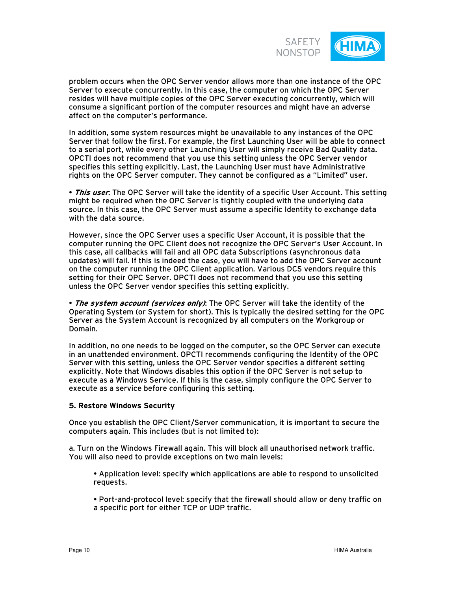

problem occurs when the OPC Server vendor allows more than one instance of the OPC Server to execute concurrently. In this case, the computer on which the OPC Server resides will have multiple copies of the OPC Server executing concurrently, which will consume a significant portion of the computer resources and might have an adverse affect on the computer's performance.

In addition, some system resources might be unavailable to any instances of the OPC Server that follow the first. For example, the first Launching User will be able to connect to a serial port, while every other Launching User will simply receive Bad Quality data. OPCTI does not recommend that you use this setting unless the OPC Server vendor specifies this setting explicitly. Last, the Launching User must have Administrative rights on the OPC Server computer. They cannot be configured as a "Limited" user.

• **This user**: The OPC Server will take the identity of a specific User Account. This setting might be required when the OPC Server is tightly coupled with the underlying data source. In this case, the OPC Server must assume a specific Identity to exchange data with the data source.

However, since the OPC Server uses a specific User Account, it is possible that the computer running the OPC Client does not recognize the OPC Server's User Account. In this case, all callbacks will fail and all OPC data Subscriptions (asynchronous data updates) will fail. If this is indeed the case, you will have to add the OPC Server account on the computer running the OPC Client application. Various DCS vendors require this setting for their OPC Server. OPCTI does not recommend that you use this setting unless the OPC Server vendor specifies this setting explicitly.

• **The system account (services only)**: The OPC Server will take the identity of the Operating System (or System for short). This is typically the desired setting for the OPC Server as the System Account is recognized by all computers on the Workgroup or Domain.

In addition, no one needs to be logged on the computer, so the OPC Server can execute in an unattended environment. OPCTI recommends configuring the Identity of the OPC Server with this setting, unless the OPC Server vendor specifies a different setting explicitly. Note that Windows disables this option if the OPC Server is not setup to execute as a Windows Service. If this is the case, simply configure the OPC Server to execute as a service before configuring this setting.

#### **5. Restore Windows Security**

Once you establish the OPC Client/Server communication, it is important to secure the computers again. This includes (but is not limited to):

a. Turn on the Windows Firewall again. This will block all unauthorised network traffic. You will also need to provide exceptions on two main levels:

• Application level: specify which applications are able to respond to unsolicited requests.

• Port-and-protocol level: specify that the firewall should allow or deny traffic on a specific port for either TCP or UDP traffic.